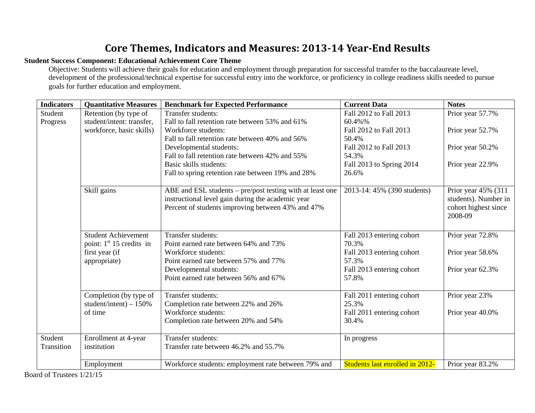# **Core Themes, Indicators and Measures: 2013-14 Year-End Results**

### **Student Success Component: Educational Achievement Core Theme**

Objective: Students will achieve their goals for education and employment through preparation for successful transfer to the baccalaureate level, development of the professional/technical expertise for successful entry into the workforce, or proficiency in college readiness skills needed to pursue goals for further education and employment.

| <b>Indicators</b> | <b>Ouantitative Measures</b>                      | <b>Benchmark for Expected Performance</b>                                                                                                                           | <b>Current Data</b>                | <b>Notes</b>                                                                   |
|-------------------|---------------------------------------------------|---------------------------------------------------------------------------------------------------------------------------------------------------------------------|------------------------------------|--------------------------------------------------------------------------------|
| Student           | Retention (by type of                             | Transfer students:                                                                                                                                                  | Fall 2012 to Fall 2013             | Prior year 57.7%                                                               |
| Progress          | student/intent: transfer,                         | Fall to fall retention rate between 53% and 61%                                                                                                                     | 60.4%%                             |                                                                                |
|                   | workforce, basic skills)                          | Workforce students:                                                                                                                                                 | Fall 2012 to Fall 2013             | Prior year 52.7%                                                               |
|                   |                                                   | Fall to fall retention rate between 40% and 56%                                                                                                                     | 50.4%                              |                                                                                |
|                   |                                                   | Developmental students:                                                                                                                                             | Fall 2012 to Fall 2013             | Prior year 50.2%                                                               |
|                   |                                                   | Fall to fall retention rate between 42% and 55%                                                                                                                     | 54.3%                              |                                                                                |
|                   |                                                   | Basic skills students:                                                                                                                                              | Fall 2013 to Spring 2014           | Prior year 22.9%                                                               |
|                   |                                                   | Fall to spring retention rate between 19% and 28%                                                                                                                   | 26.6%                              |                                                                                |
|                   | Skill gains                                       | ABE and ESL students – pre/post testing with at least one<br>instructional level gain during the academic year<br>Percent of students improving between 43% and 47% | 2013-14: 45% (390 students)        | Prior year 45% (311<br>students). Number in<br>cohort highest since<br>2008-09 |
|                   | <b>Student Achievement</b>                        | Transfer students:                                                                                                                                                  | Fall 2013 entering cohort          | Prior year 72.8%                                                               |
|                   | point: $1st 15$ credits in                        | Point earned rate between 64% and 73%                                                                                                                               | 70.3%                              |                                                                                |
|                   | first year (if                                    | Workforce students:                                                                                                                                                 | Fall 2013 entering cohort          | Prior year 58.6%                                                               |
|                   | appropriate)                                      | Point earned rate between 57% and 77%                                                                                                                               | 57.3%                              |                                                                                |
|                   |                                                   | Developmental students:                                                                                                                                             | Fall 2013 entering cohort          | Prior year 62.3%                                                               |
|                   |                                                   | Point earned rate between 56% and 67%                                                                                                                               | 57.8%                              |                                                                                |
|                   | Completion (by type of<br>student/intent) $-150%$ | Transfer students:<br>Completion rate between 22% and 26%                                                                                                           | Fall 2011 entering cohort<br>25.3% | Prior year 23%                                                                 |
|                   | of time                                           | Workforce students:                                                                                                                                                 | Fall 2011 entering cohort          | Prior year 40.0%                                                               |
|                   |                                                   | Completion rate between 20% and 54%                                                                                                                                 | 30.4%                              |                                                                                |
| Student           | Enrollment at 4-year                              | Transfer students:                                                                                                                                                  | In progress                        |                                                                                |
| Transition        | institution                                       | Transfer rate between 46.2% and 55.7%                                                                                                                               |                                    |                                                                                |
|                   | Employment                                        | Workforce students: employment rate between 79% and                                                                                                                 | Students last enrolled in 2012-    | Prior year 83.2%                                                               |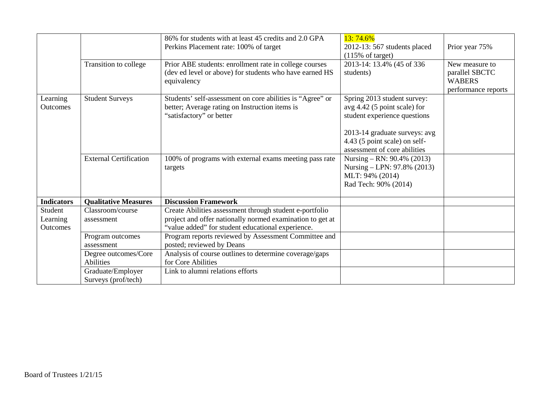|                                 |                                          | 86% for students with at least 45 credits and 2.0 GPA<br>Perkins Placement rate: 100% of target                                                                           | 13:74.6%<br>2012-13: 567 students placed<br>$(115\% \text{ of target})$                                                                                                                           | Prior year 75%                                                           |
|---------------------------------|------------------------------------------|---------------------------------------------------------------------------------------------------------------------------------------------------------------------------|---------------------------------------------------------------------------------------------------------------------------------------------------------------------------------------------------|--------------------------------------------------------------------------|
|                                 | Transition to college                    | Prior ABE students: enrollment rate in college courses<br>(dev ed level or above) for students who have earned HS<br>equivalency                                          | 2013-14: 13.4% (45 of 336<br>students)                                                                                                                                                            | New measure to<br>parallel SBCTC<br><b>WABERS</b><br>performance reports |
| Learning<br><b>Outcomes</b>     | <b>Student Surveys</b>                   | Students' self-assessment on core abilities is "Agree" or<br>better; Average rating on Instruction items is<br>"satisfactory" or better                                   | Spring 2013 student survey:<br>$avg\ 4.42\ (5 point scale)$ for<br>student experience questions<br>2013-14 graduate surveys: avg<br>4.43 (5 point scale) on self-<br>assessment of core abilities |                                                                          |
|                                 | <b>External Certification</b>            | 100% of programs with external exams meeting pass rate<br>targets                                                                                                         | Nursing – RN: $90.4\%$ (2013)<br>Nursing – LPN: 97.8% (2013)<br>MLT: 94% (2014)<br>Rad Tech: 90% (2014)                                                                                           |                                                                          |
| <b>Indicators</b>               | <b>Oualitative Measures</b>              | <b>Discussion Framework</b>                                                                                                                                               |                                                                                                                                                                                                   |                                                                          |
| Student<br>Learning<br>Outcomes | Classroom/course<br>assessment           | Create Abilities assessment through student e-portfolio<br>project and offer nationally normed examination to get at<br>"value added" for student educational experience. |                                                                                                                                                                                                   |                                                                          |
|                                 | Program outcomes<br>assessment           | Program reports reviewed by Assessment Committee and<br>posted; reviewed by Deans                                                                                         |                                                                                                                                                                                                   |                                                                          |
|                                 | Degree outcomes/Core<br><b>Abilities</b> | Analysis of course outlines to determine coverage/gaps<br>for Core Abilities                                                                                              |                                                                                                                                                                                                   |                                                                          |
|                                 | Graduate/Employer<br>Surveys (prof/tech) | Link to alumni relations efforts                                                                                                                                          |                                                                                                                                                                                                   |                                                                          |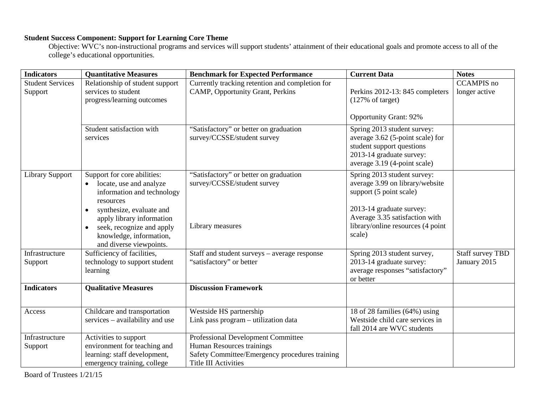#### **Student Success Component: Support for Learning Core Theme**

Objective: WVC's non-instructional programs and services will support students' attainment of their educational goals and promote access to all of the college's educational opportunities.

| <b>Indicators</b>                  | <b>Quantitative Measures</b>                                                                                                                                                                                                                               | <b>Benchmark for Expected Performance</b>                                                                                                        | <b>Current Data</b>                                                                                                                                                                                    | <b>Notes</b>                            |
|------------------------------------|------------------------------------------------------------------------------------------------------------------------------------------------------------------------------------------------------------------------------------------------------------|--------------------------------------------------------------------------------------------------------------------------------------------------|--------------------------------------------------------------------------------------------------------------------------------------------------------------------------------------------------------|-----------------------------------------|
| <b>Student Services</b><br>Support | Relationship of student support<br>services to student<br>progress/learning outcomes                                                                                                                                                                       | Currently tracking retention and completion for<br>CAMP, Opportunity Grant, Perkins                                                              | Perkins 2012-13: 845 completers<br>$(127\% \text{ of target})$                                                                                                                                         | <b>CCAMPIS</b> no<br>longer active      |
|                                    |                                                                                                                                                                                                                                                            |                                                                                                                                                  | <b>Opportunity Grant: 92%</b>                                                                                                                                                                          |                                         |
|                                    | Student satisfaction with<br>services                                                                                                                                                                                                                      | "Satisfactory" or better on graduation<br>survey/CCSSE/student survey                                                                            | Spring 2013 student survey:<br>average 3.62 (5-point scale) for<br>student support questions<br>2013-14 graduate survey:<br>average 3.19 (4-point scale)                                               |                                         |
| <b>Library Support</b>             | Support for core abilities:<br>locate, use and analyze<br>information and technology<br>resources<br>synthesize, evaluate and<br>apply library information<br>seek, recognize and apply<br>$\bullet$<br>knowledge, information,<br>and diverse viewpoints. | "Satisfactory" or better on graduation<br>survey/CCSSE/student survey<br>Library measures                                                        | Spring 2013 student survey:<br>average 3.99 on library/website<br>support (5 point scale)<br>2013-14 graduate survey:<br>Average 3.35 satisfaction with<br>library/online resources (4 point<br>scale) |                                         |
| Infrastructure<br>Support          | Sufficiency of facilities,<br>technology to support student<br>learning                                                                                                                                                                                    | Staff and student surveys – average response<br>"satisfactory" or better                                                                         | Spring 2013 student survey,<br>2013-14 graduate survey:<br>average responses "satisfactory"<br>or better                                                                                               | <b>Staff survey TBD</b><br>January 2015 |
| <b>Indicators</b>                  | <b>Qualitative Measures</b>                                                                                                                                                                                                                                | <b>Discussion Framework</b>                                                                                                                      |                                                                                                                                                                                                        |                                         |
| Access                             | Childcare and transportation<br>services – availability and use                                                                                                                                                                                            | Westside HS partnership<br>Link pass program - utilization data                                                                                  | 18 of 28 families (64%) using<br>Westside child care services in<br>fall 2014 are WVC students                                                                                                         |                                         |
| Infrastructure<br>Support          | Activities to support<br>environment for teaching and<br>learning: staff development,<br>emergency training, college                                                                                                                                       | Professional Development Committee<br>Human Resources trainings<br>Safety Committee/Emergency procedures training<br><b>Title III Activities</b> |                                                                                                                                                                                                        |                                         |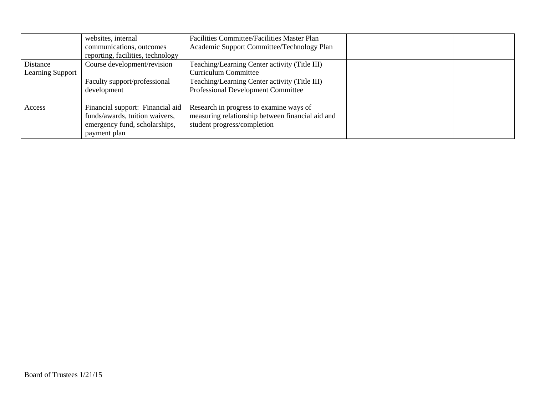|                              | websites, internal<br>communications, outcomes<br>reporting, facilities, technology                                 | Facilities Committee/Facilities Master Plan<br>Academic Support Committee/Technology Plan                                  |  |
|------------------------------|---------------------------------------------------------------------------------------------------------------------|----------------------------------------------------------------------------------------------------------------------------|--|
| Distance<br>Learning Support | Course development/revision                                                                                         | Teaching/Learning Center activity (Title III)<br><b>Curriculum Committee</b>                                               |  |
|                              | Faculty support/professional<br>development                                                                         | Teaching/Learning Center activity (Title III)<br><b>Professional Development Committee</b>                                 |  |
| Access                       | Financial support: Financial aid<br>funds/awards, tuition waivers,<br>emergency fund, scholarships,<br>payment plan | Research in progress to examine ways of<br>measuring relationship between financial aid and<br>student progress/completion |  |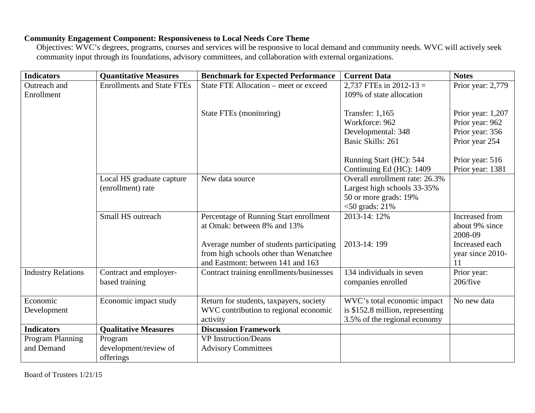## **Community Engagement Component: Responsiveness to Local Needs Core Theme**

Objectives: WVC's degrees, programs, courses and services will be responsive to local demand and community needs. WVC will actively seek community input through its foundations, advisory committees, and collaboration with external organizations.

| <b>Indicators</b>         | <b>Quantitative Measures</b>      | <b>Benchmark for Expected Performance</b> | <b>Current Data</b>              | <b>Notes</b>      |
|---------------------------|-----------------------------------|-------------------------------------------|----------------------------------|-------------------|
| Outreach and              | <b>Enrollments and State FTEs</b> | State FTE Allocation – meet or exceed     | 2,737 FTEs in 2012-13 =          | Prior year: 2,779 |
| Enrollment                |                                   |                                           | 109% of state allocation         |                   |
|                           |                                   |                                           |                                  |                   |
|                           |                                   | State FTEs (monitoring)                   | <b>Transfer: 1,165</b>           | Prior year: 1,207 |
|                           |                                   |                                           | Workforce: 962                   | Prior year: 962   |
|                           |                                   |                                           | Developmental: 348               | Prior year: 356   |
|                           |                                   |                                           | Basic Skills: 261                | Prior year 254    |
|                           |                                   |                                           |                                  |                   |
|                           |                                   |                                           | Running Start (HC): 544          | Prior year: 516   |
|                           |                                   |                                           | Continuing Ed (HC): 1409         | Prior year: 1381  |
|                           | Local HS graduate capture         | New data source                           | Overall enrollment rate: 26.3%   |                   |
|                           | (enrollment) rate                 |                                           | Largest high schools 33-35%      |                   |
|                           |                                   |                                           | 50 or more grads: 19%            |                   |
|                           |                                   |                                           | $<$ 50 grads: 21%                |                   |
|                           | Small HS outreach                 | Percentage of Running Start enrollment    | 2013-14: 12%                     | Increased from    |
|                           |                                   | at Omak: between 8% and 13%               |                                  | about 9% since    |
|                           |                                   |                                           |                                  | 2008-09           |
|                           |                                   | Average number of students participating  | 2013-14: 199                     | Increased each    |
|                           |                                   | from high schools other than Wenatchee    |                                  | year since 2010-  |
|                           |                                   | and Eastmont: between 141 and 163         |                                  | 11                |
| <b>Industry Relations</b> | Contract and employer-            | Contract training enrollments/businesses  | 134 individuals in seven         | Prior year:       |
|                           | based training                    |                                           | companies enrolled               | 206/five          |
|                           |                                   |                                           |                                  |                   |
| Economic                  | Economic impact study             | Return for students, taxpayers, society   | WVC's total economic impact      | No new data       |
| Development               |                                   | WVC contribution to regional economic     | is \$152.8 million, representing |                   |
|                           |                                   | activity                                  | 3.5% of the regional economy     |                   |
| <b>Indicators</b>         | <b>Qualitative Measures</b>       | <b>Discussion Framework</b>               |                                  |                   |
| Program Planning          | Program                           | <b>VP</b> Instruction/Deans               |                                  |                   |
| and Demand                | development/review of             | <b>Advisory Committees</b>                |                                  |                   |
|                           | offerings                         |                                           |                                  |                   |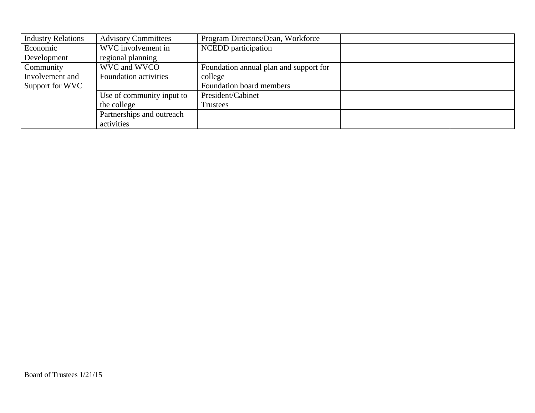| <b>Industry Relations</b> | <b>Advisory Committees</b>   | Program Directors/Dean, Workforce      |  |
|---------------------------|------------------------------|----------------------------------------|--|
| Economic                  | WVC involvement in           | NCEDD participation                    |  |
| Development               | regional planning            |                                        |  |
| Community                 | WVC and WVCO                 | Foundation annual plan and support for |  |
| Involvement and           | <b>Foundation activities</b> | college                                |  |
| Support for WVC           |                              | Foundation board members               |  |
|                           | Use of community input to    | President/Cabinet                      |  |
|                           | the college                  | Trustees                               |  |
|                           | Partnerships and outreach    |                                        |  |
|                           | activities                   |                                        |  |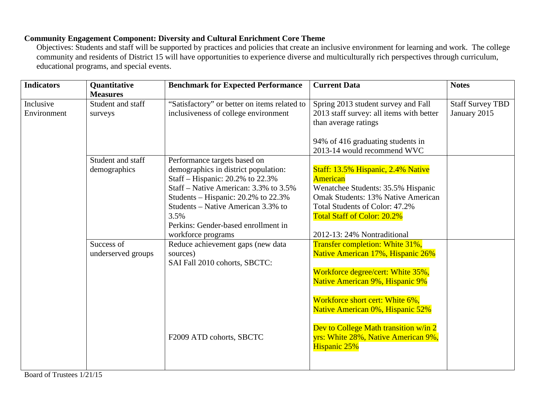## **Community Engagement Component: Diversity and Cultural Enrichment Core Theme**

Objectives: Students and staff will be supported by practices and policies that create an inclusive environment for learning and work. The college community and residents of District 15 will have opportunities to experience diverse and multiculturally rich perspectives through curriculum, educational programs, and special events.

| <b>Indicators</b>        | <b>Quantitative</b><br><b>Measures</b> | <b>Benchmark for Expected Performance</b>                                                                                                                                                                                                                                                                 | <b>Current Data</b>                                                                                                                                                                                                                                                                                                        | <b>Notes</b>                            |
|--------------------------|----------------------------------------|-----------------------------------------------------------------------------------------------------------------------------------------------------------------------------------------------------------------------------------------------------------------------------------------------------------|----------------------------------------------------------------------------------------------------------------------------------------------------------------------------------------------------------------------------------------------------------------------------------------------------------------------------|-----------------------------------------|
| Inclusive<br>Environment | Student and staff<br>surveys           | "Satisfactory" or better on items related to<br>inclusiveness of college environment                                                                                                                                                                                                                      | Spring 2013 student survey and Fall<br>2013 staff survey: all items with better<br>than average ratings                                                                                                                                                                                                                    | <b>Staff Survey TBD</b><br>January 2015 |
|                          |                                        |                                                                                                                                                                                                                                                                                                           | 94% of 416 graduating students in<br>2013-14 would recommend WVC                                                                                                                                                                                                                                                           |                                         |
|                          | Student and staff<br>demographics      | Performance targets based on<br>demographics in district population:<br>Staff – Hispanic: 20.2% to 22.3%<br>Staff – Native American: 3.3% to 3.5%<br>Students – Hispanic: $20.2\%$ to $22.3\%$<br>Students – Native American 3.3% to<br>3.5%<br>Perkins: Gender-based enrollment in<br>workforce programs | Staff: 13.5% Hispanic, 2.4% Native<br><b>American</b><br>Wenatchee Students: 35.5% Hispanic<br>Omak Students: 13% Native American<br>Total Students of Color: 47.2%<br>Total Staff of Color: 20.2%<br>2012-13: 24% Nontraditional                                                                                          |                                         |
|                          | Success of<br>underserved groups       | Reduce achievement gaps (new data<br>sources)<br>SAI Fall 2010 cohorts, SBCTC:<br>F2009 ATD cohorts, SBCTC                                                                                                                                                                                                | Transfer completion: White 31%,<br>Native American 17%, Hispanic 26%<br>Workforce degree/cert: White 35%,<br>Native American 9%, Hispanic 9%<br>Workforce short cert: White 6%,<br>Native American 0%, Hispanic 52%<br>Dev to College Math transition w/in 2<br>yrs: White 28%, Native American 9%,<br><b>Hispanic 25%</b> |                                         |